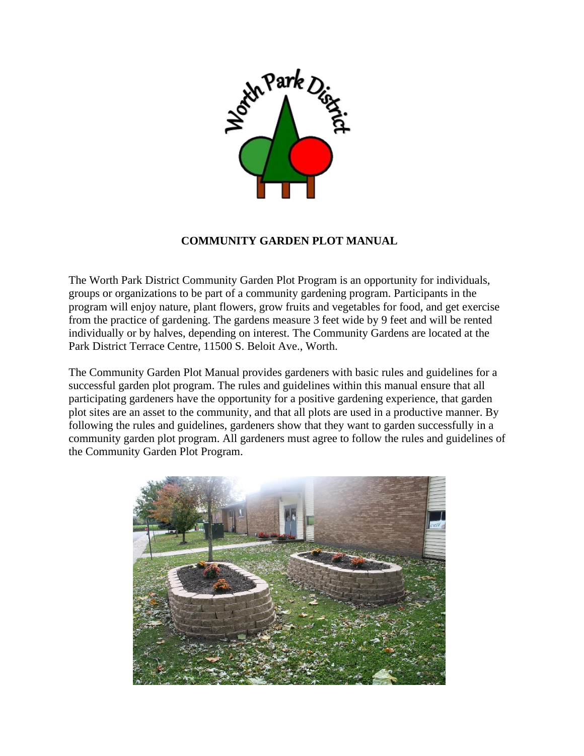

## **COMMUNITY GARDEN PLOT MANUAL**

The Worth Park District Community Garden Plot Program is an opportunity for individuals, groups or organizations to be part of a community gardening program. Participants in the program will enjoy nature, plant flowers, grow fruits and vegetables for food, and get exercise from the practice of gardening. The gardens measure 3 feet wide by 9 feet and will be rented individually or by halves, depending on interest. The Community Gardens are located at the Park District Terrace Centre, 11500 S. Beloit Ave., Worth.

The Community Garden Plot Manual provides gardeners with basic rules and guidelines for a successful garden plot program. The rules and guidelines within this manual ensure that all participating gardeners have the opportunity for a positive gardening experience, that garden plot sites are an asset to the community, and that all plots are used in a productive manner. By following the rules and guidelines, gardeners show that they want to garden successfully in a community garden plot program. All gardeners must agree to follow the rules and guidelines of the Community Garden Plot Program.

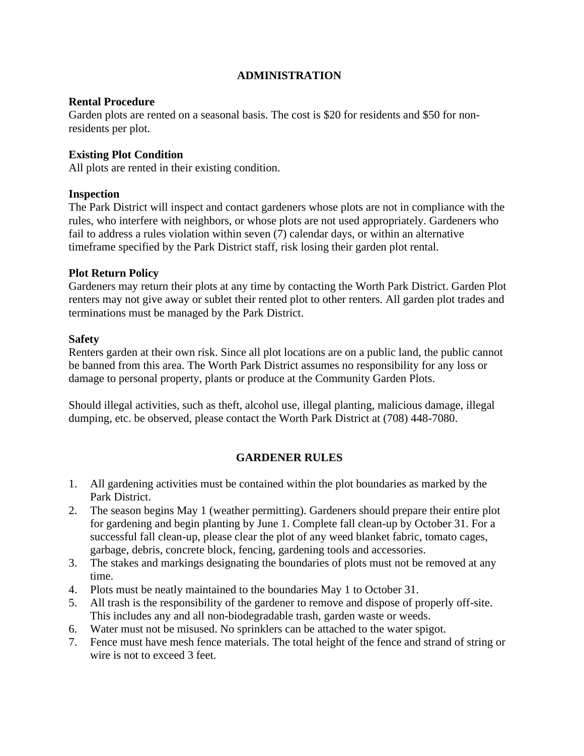# **ADMINISTRATION**

## **Rental Procedure**

Garden plots are rented on a seasonal basis. The cost is \$20 for residents and \$50 for nonresidents per plot.

## **Existing Plot Condition**

All plots are rented in their existing condition.

### **Inspection**

The Park District will inspect and contact gardeners whose plots are not in compliance with the rules, who interfere with neighbors, or whose plots are not used appropriately. Gardeners who fail to address a rules violation within seven (7) calendar days, or within an alternative timeframe specified by the Park District staff, risk losing their garden plot rental.

## **Plot Return Policy**

Gardeners may return their plots at any time by contacting the Worth Park District. Garden Plot renters may not give away or sublet their rented plot to other renters. All garden plot trades and terminations must be managed by the Park District.

#### **Safety**

Renters garden at their own risk. Since all plot locations are on a public land, the public cannot be banned from this area. The Worth Park District assumes no responsibility for any loss or damage to personal property, plants or produce at the Community Garden Plots.

Should illegal activities, such as theft, alcohol use, illegal planting, malicious damage, illegal dumping, etc. be observed, please contact the Worth Park District at (708) 448-7080.

# **GARDENER RULES**

- 1. All gardening activities must be contained within the plot boundaries as marked by the Park District.
- 2. The season begins May 1 (weather permitting). Gardeners should prepare their entire plot for gardening and begin planting by June 1. Complete fall clean-up by October 31. For a successful fall clean-up, please clear the plot of any weed blanket fabric, tomato cages, garbage, debris, concrete block, fencing, gardening tools and accessories.
- 3. The stakes and markings designating the boundaries of plots must not be removed at any time.
- 4. Plots must be neatly maintained to the boundaries May 1 to October 31.
- 5. All trash is the responsibility of the gardener to remove and dispose of properly off-site. This includes any and all non-biodegradable trash, garden waste or weeds.
- 6. Water must not be misused. No sprinklers can be attached to the water spigot.
- 7. Fence must have mesh fence materials. The total height of the fence and strand of string or wire is not to exceed 3 feet.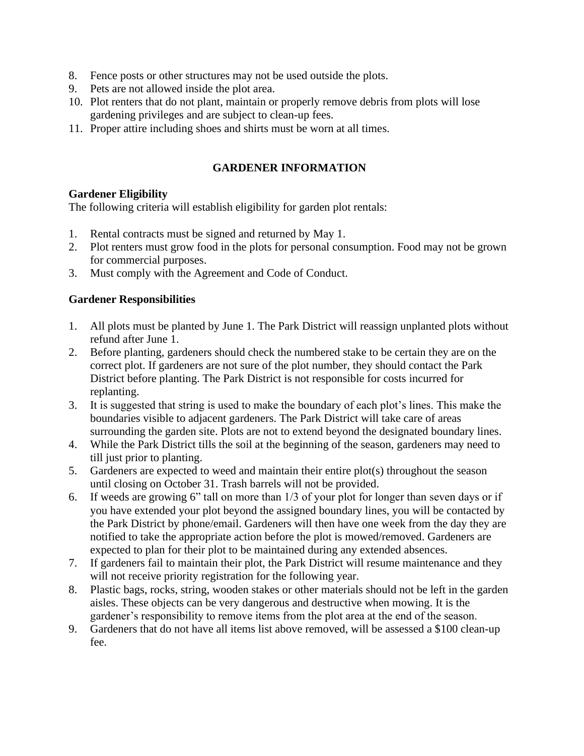- 8. Fence posts or other structures may not be used outside the plots.
- 9. Pets are not allowed inside the plot area.
- 10. Plot renters that do not plant, maintain or properly remove debris from plots will lose gardening privileges and are subject to clean-up fees.
- 11. Proper attire including shoes and shirts must be worn at all times.

# **GARDENER INFORMATION**

## **Gardener Eligibility**

The following criteria will establish eligibility for garden plot rentals:

- 1. Rental contracts must be signed and returned by May 1.
- 2. Plot renters must grow food in the plots for personal consumption. Food may not be grown for commercial purposes.
- 3. Must comply with the Agreement and Code of Conduct.

# **Gardener Responsibilities**

- 1. All plots must be planted by June 1. The Park District will reassign unplanted plots without refund after June 1.
- 2. Before planting, gardeners should check the numbered stake to be certain they are on the correct plot. If gardeners are not sure of the plot number, they should contact the Park District before planting. The Park District is not responsible for costs incurred for replanting.
- 3. It is suggested that string is used to make the boundary of each plot's lines. This make the boundaries visible to adjacent gardeners. The Park District will take care of areas surrounding the garden site. Plots are not to extend beyond the designated boundary lines.
- 4. While the Park District tills the soil at the beginning of the season, gardeners may need to till just prior to planting.
- 5. Gardeners are expected to weed and maintain their entire plot(s) throughout the season until closing on October 31. Trash barrels will not be provided.
- 6. If weeds are growing 6" tall on more than 1/3 of your plot for longer than seven days or if you have extended your plot beyond the assigned boundary lines, you will be contacted by the Park District by phone/email. Gardeners will then have one week from the day they are notified to take the appropriate action before the plot is mowed/removed. Gardeners are expected to plan for their plot to be maintained during any extended absences.
- 7. If gardeners fail to maintain their plot, the Park District will resume maintenance and they will not receive priority registration for the following year.
- 8. Plastic bags, rocks, string, wooden stakes or other materials should not be left in the garden aisles. These objects can be very dangerous and destructive when mowing. It is the gardener's responsibility to remove items from the plot area at the end of the season.
- 9. Gardeners that do not have all items list above removed, will be assessed a \$100 clean-up fee.